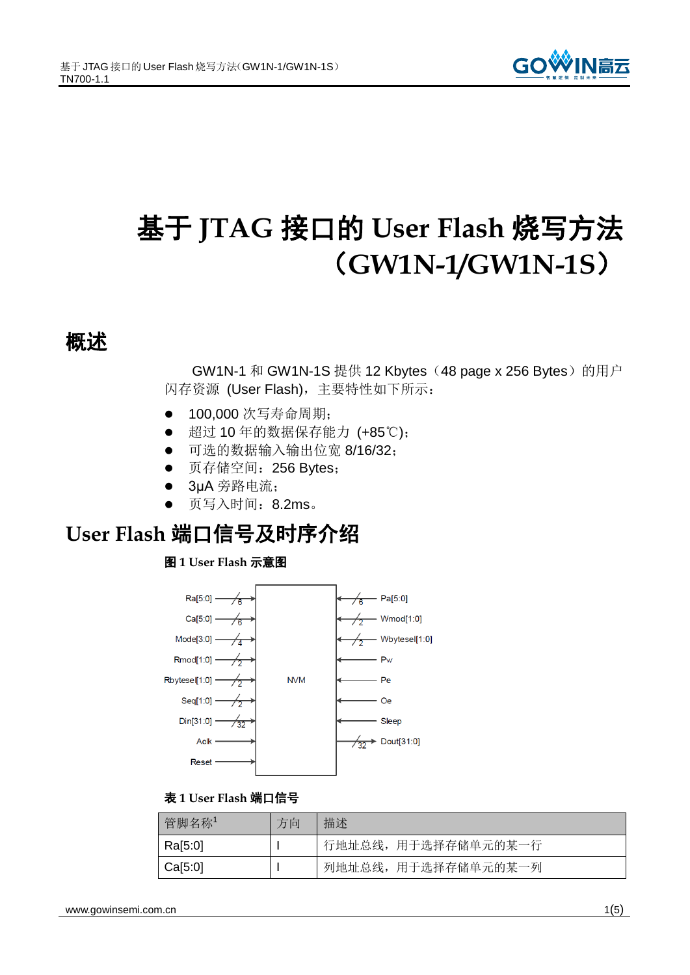

# 基于 **JTAG** 接口的 **User Flash** 烧写方法 (**GW1N-1/GW1N-1S**)

### 概述

GW1N-1 和 GW1N-1S 提供 12 Kbytes (48 page x 256 Bytes)的用户 闪存资源 (User Flash),主要特性如下所示:

- 100.000 次写寿命周期;
- 超过 10 年的数据保存能力 (+85℃);
- 可选的数据输入输出位宽 8/16/32;
- **页存储空间: 256 Bytes;**
- **3µA 旁路电流;**
- 页写入时间:8.2ms。

## **User Flash** 端口信号及时序介绍

### 图 **1 User Flash** 示意图



### 表 **1 User Flash** 端口信号

| 管脚名称1   | 方向 | 描述                  |
|---------|----|---------------------|
| Ra[5:0] |    | 行地址总线, 用于选择存储单元的某一行 |
| Ca[5:0] |    | 列地址总线, 用于选择存储单元的某一列 |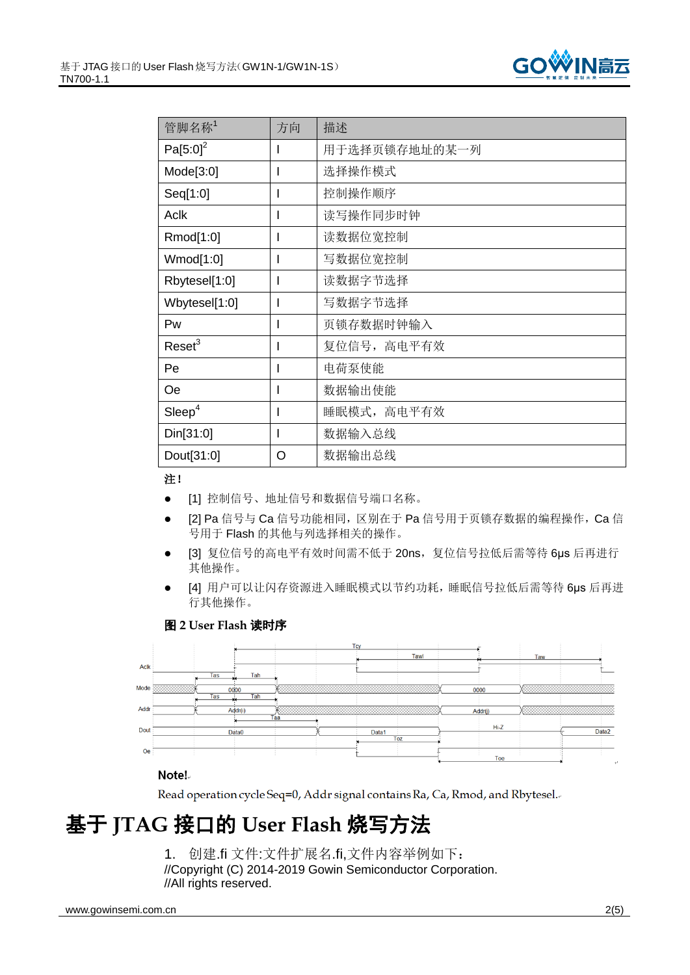

| 管脚名称1                | 方向 | 描述            |
|----------------------|----|---------------|
| Pa[5:0] <sup>2</sup> |    | 用于选择页锁存地址的某一列 |
| Mode[3:0]            |    | 选择操作模式        |
| Seq[1:0]             |    | 控制操作顺序        |
| <b>Aclk</b>          |    | 读写操作同步时钟      |
| Rmod[1:0]            |    | 读数据位宽控制       |
| Wmod[1:0]            |    | 写数据位宽控制       |
| Rbytesel[1:0]        |    | 读数据字节选择       |
| Wbytesel[1:0]        |    | 写数据字节选择       |
| Pw                   |    | 页锁存数据时钟输入     |
| $\text{Reset}^3$     |    | 复位信号, 高电平有效   |
| Pe                   |    | 电荷泵使能         |
| <b>Oe</b>            |    | 数据输出使能        |
| Sleep <sup>4</sup>   |    | 睡眠模式, 高电平有效   |
| Din[31:0]            |    | 数据输入总线        |
| Dout[31:0]           | O  | 数据输出总线        |

### 注!

- [1] 控制信号、地址信号和数据信号端口名称。
- [2] Pa 信号与 Ca 信号功能相同, 区别在于 Pa 信号用于页锁存数据的编程操作, Ca 信 号用于 Flash 的其他与列选择相关的操作。
- [3] 复位信号的高电平有效时间需不低于 20ns, 复位信号拉低后需等待 6µs 后再进行 其他操作。
- [4] 用户可以让闪存资源进入睡眠模式以节约功耗,睡眠信号拉低后需等待 6μs 后再进 行其他操作。

### 图 **2 User Flash** 读时序



### Note!

Read operation cycle Seq=0, Addr signal contains Ra, Ca, Rmod, and Rbytesel.

# 基于 **JTAG** 接口的 **User Flash** 烧写方法

1. 创建.fi 文件:文件扩展名.fi,文件内容举例如下: //Copyright (C) 2014-2019 Gowin Semiconductor Corporation. //All rights reserved.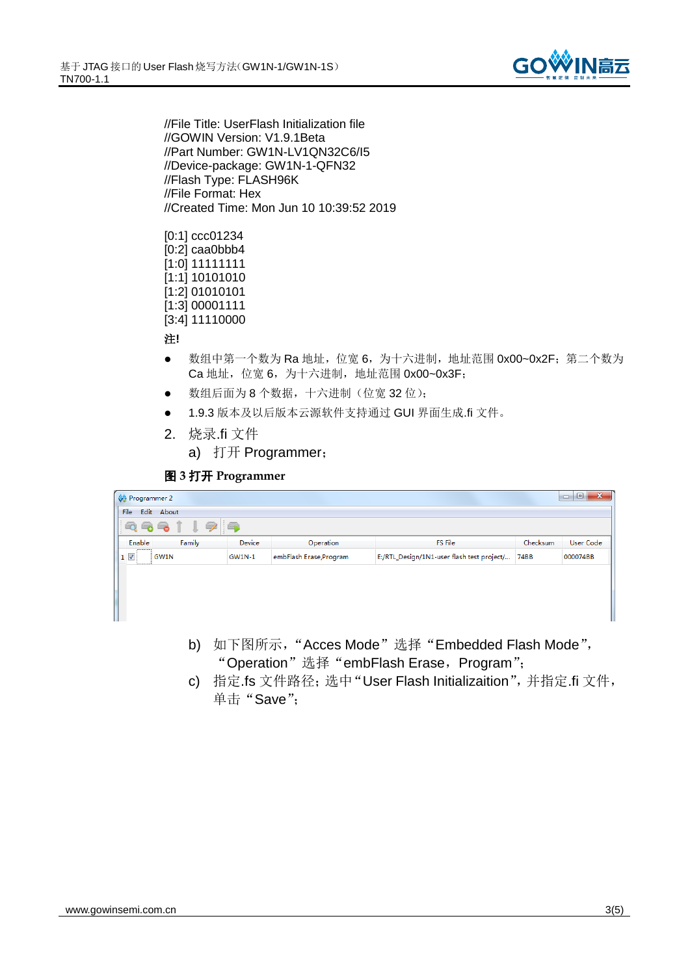

//File Title: UserFlash Initialization file //GOWIN Version: V1.9.1Beta //Part Number: GW1N-LV1QN32C6/I5 //Device-package: GW1N-1-QFN32 //Flash Type: FLASH96K //File Format: Hex //Created Time: Mon Jun 10 10:39:52 2019

[0:1] ccc01234 [0:2] caa0bbb4 [1:0] 11111111 [1:1] 10101010 [1:2] 01010101 [1:3] 00001111 [3:4] 11110000

### 注**!**

- 数组中第一个数为 Ra 地址, 位宽 6, 为十六进制, 地址范围 0x00~0x2F; 第二个数为 Ca 地址, 位宽 6, 为十六进制, 地址范围 0x00~0x3F;
- 数组后面为 8 个数据,十六进制(位宽 32 位);
- **1.9.3 版本及以后版本云源软件支持通过 GUI 界面生成.fi 文件。**
- 2. 烧录.fi 文件
	- a) 打开 Programmer;

#### 图 **3** 打开 **Programmer**

| $\begin{array}{c c c c c} \hline \multicolumn{1}{c }{\multicolumn{1}{c }{\mid}} & \multicolumn{1}{c }{\multicolumn{1}{c }{\mid}} \end{array}$<br>$\mathbf{x}$<br>Programmer 2 |                  |                         |                                            |             |                  |
|-------------------------------------------------------------------------------------------------------------------------------------------------------------------------------|------------------|-------------------------|--------------------------------------------|-------------|------------------|
| Edit About<br>File                                                                                                                                                            |                  |                         |                                            |             |                  |
| 6<br>16<br>G.                                                                                                                                                                 |                  |                         |                                            |             |                  |
| Enable                                                                                                                                                                        | Device<br>Family | Operation               | FS File                                    | Checksum    | <b>User Code</b> |
| $1$ $\triangledown$<br>GW1N                                                                                                                                                   | <b>GW1N-1</b>    | embFlash Erase, Program | E:/RTL_Design/1N1-user flash test project/ | <b>74BB</b> | 000074BB         |
|                                                                                                                                                                               |                  |                         |                                            |             |                  |
|                                                                                                                                                                               |                  |                         |                                            |             |                  |
|                                                                                                                                                                               |                  |                         |                                            |             |                  |
|                                                                                                                                                                               |                  |                         |                                            |             |                  |
|                                                                                                                                                                               |                  |                         |                                            |             |                  |
|                                                                                                                                                                               |                  |                         |                                            |             |                  |

- b) 如下图所示, "Acces Mode"选择 "Embedded Flash Mode", "Operation" 选择 "embFlash Erase, Program";
- c) 指定.fs 文件路径;选中"User Flash Initializaition",并指定.fi 文件, 单击"Save":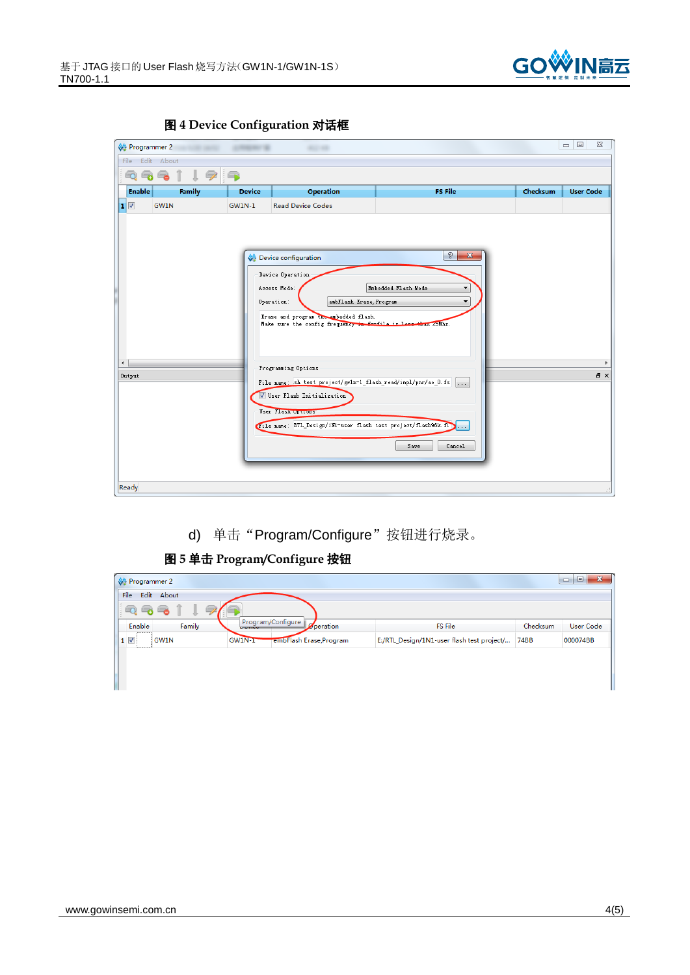





d) 单击"Program/Configure"按钮进行烧录。

### 图 **5** 单击 **Program/Configure** 按钮

| Programmer 2               |                                        |           |                                                 |          | $\Box$<br>$\mathbf{x}$<br>$\qquad \qquad \Box$ |
|----------------------------|----------------------------------------|-----------|-------------------------------------------------|----------|------------------------------------------------|
| <b>File</b><br>Edit About  |                                        |           |                                                 |          |                                                |
| $\overline{1}$<br>$\Box$   |                                        |           |                                                 |          |                                                |
| Family<br>Enable           | Program/Configure<br><b>CONTRACTOR</b> | Operation | <b>FS File</b>                                  | Checksum | <b>User Code</b>                               |
| $1$ $\overline{v}$<br>GW1N | GW1N-T<br>embFlash Erase, Program      |           | E:/RTL_Design/1N1-user flash test project/ 74BB |          | 000074BB                                       |
|                            |                                        |           |                                                 |          |                                                |
|                            |                                        |           |                                                 |          |                                                |
|                            |                                        |           |                                                 |          |                                                |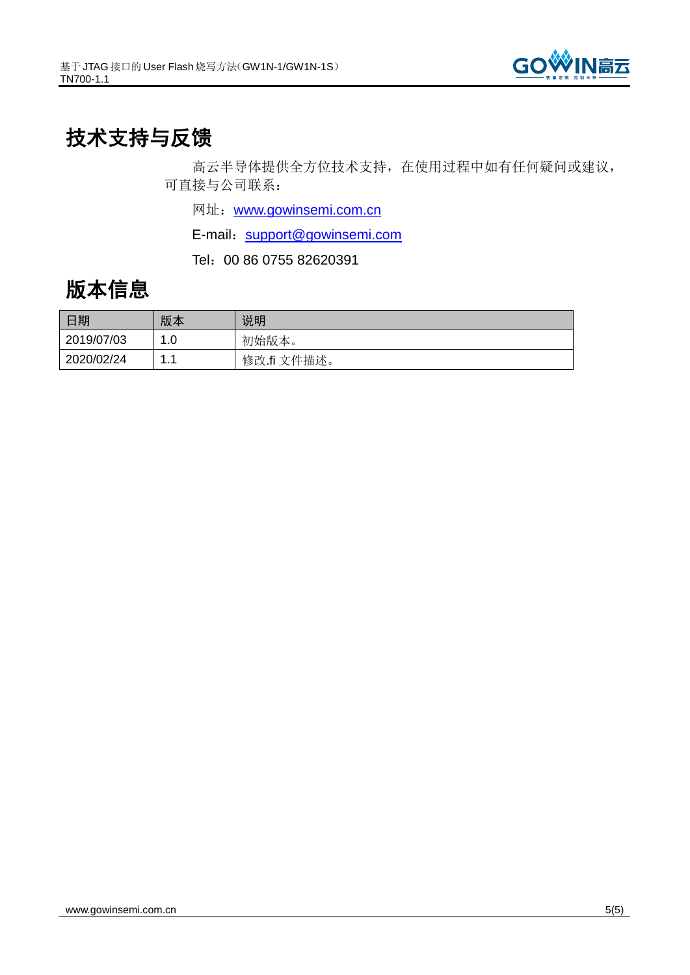

## 技术支持与反馈

高云半导体提供全方位技术支持,在使用过程中如有任何疑问或建议, 可直接与公司联系:

网址: [www.gowinsemi.com.cn](http://www.gowinsemi.com.cn/)

E-mail: [support@gowinsemi.com](mailto:support@gowinsemi.com)

Tel:00 86 0755 82620391

### 版本信息

| 日期         | 版本  | 说明          |
|------------|-----|-------------|
| 2019/07/03 | .0  | 初始版本。       |
| 2020/02/24 | . . | 修改.fi 文件描述。 |